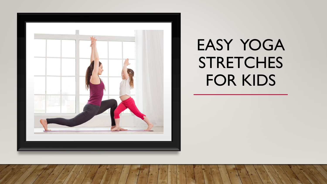

# EASY YOGA **STRETCHES** FOR KIDS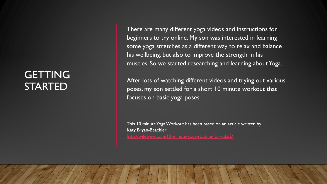### **GETTING** STARTED

There are many different yoga videos and instructions for beginners to try online. My son was interested in learning some yoga stretches as a different way to relax and balance his wellbeing, but also to improve the strength in his muscles. So we started researching and learning about Yoga.

After lots of watching different videos and trying out various poses, my son settled for a short 10 minute workout that focuses on basic yoga poses.

This 10 minute Yoga Workout has been based on an article written by Katy Bryan-Beachler <http://wifewine.com/10-minute-yoga-routine-for-kids/2/>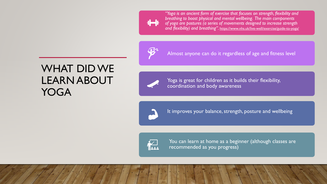*"Yoga is an ancient form of exercise that focuses on strength, flexibility and breathing to boost physical and mental wellbeing. The main components of yoga are postures (a series of movements designed to increase strength and flexibility) and breathing".* <https://www.nhs.uk/live-well/exercise/guide-to-yoga/>



Almost anyone can do it regardless of age and fitness level

### WHAT DID WE LEARN ABOUT YOGA



Yoga is great for children as it builds their flexibility, coordination and body awareness



It improves your balance, strength, posture and wellbeing



You can learn at home as a beginner (although classes are recommended as you progress)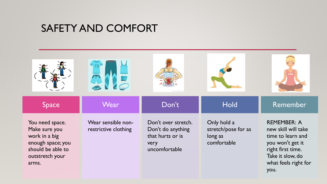#### SAFETY AND COMFORT

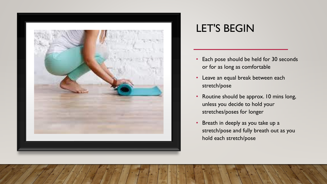

# LET'S BEGIN

- Each pose should be held for 30 seconds or for as long as comfortable
- Leave an equal break between each stretch/pose
- Routine should be approx. 10 mins long, unless you decide to hold your stretches/poses for longer
- Breath in deeply as you take up a stretch/pose and fully breath out as you hold each stretch/pose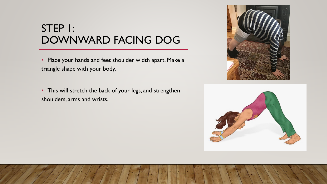#### STEP 1: DOWNWARD FACING DOG

• Place your hands and feet shoulder width apart. Make a triangle shape with your body.

• This will stretch the back of your legs, and strengthen shoulders, arms and wrists.



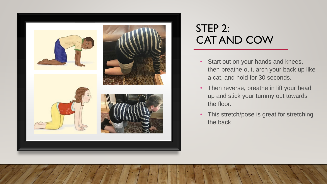

# STEP 2: CAT AND COW

- Start out on your hands and knees, then breathe out, arch your back up like a cat, and hold for 30 seconds.
- Then reverse, breathe in lift your head up and stick your tummy out towards the floor.
- This stretch/pose is great for stretching the back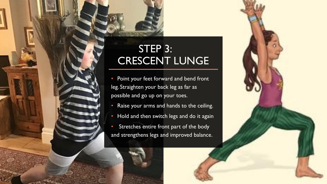# STEP 3: CRESCENT LUNGE

- Point your feet forward and bend front leg. Straighten your back leg as far as possible and go up on your toes.
- Raise your arms and hands to the ceiling.
- Hold and then switch legs and do it again
- Stretches entire front part of the body and strengthens legs and improved balance.

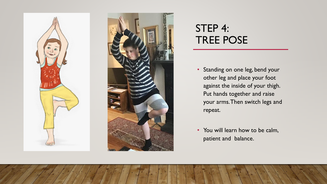



# STEP 4: TREE POSE

- Standing on one leg, bend your other leg and place your foot against the inside of your thigh. Put hands together and raise your arms. Then switch legs and repeat.
- You will learn how to be calm, patient and balance.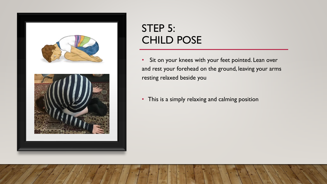

# STEP 5: CHILD POSE

- Sit on your knees with your feet pointed. Lean over and rest your forehead on the ground, leaving your arms resting relaxed beside you
- This is a simply relaxing and calming position